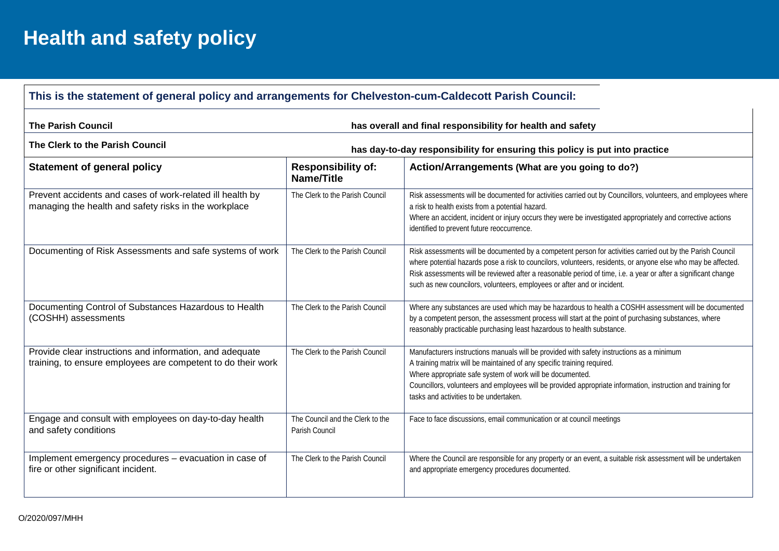## **Health and safety policy**

## **This is the statement of general policy and arrangements for Chelveston-cum-Caldecott Parish Council:**

| <b>The Parish Council</b>                                                                                                | has overall and final responsibility for health and safety |                                                                                                                                                                                                                                                                                                                                                                                                                          |  |  |  |  |
|--------------------------------------------------------------------------------------------------------------------------|------------------------------------------------------------|--------------------------------------------------------------------------------------------------------------------------------------------------------------------------------------------------------------------------------------------------------------------------------------------------------------------------------------------------------------------------------------------------------------------------|--|--|--|--|
| The Clerk to the Parish Council<br>has day-to-day responsibility for ensuring this policy is put into practice           |                                                            |                                                                                                                                                                                                                                                                                                                                                                                                                          |  |  |  |  |
| <b>Statement of general policy</b>                                                                                       | <b>Responsibility of:</b><br>Name/Title                    | Action/Arrangements (What are you going to do?)                                                                                                                                                                                                                                                                                                                                                                          |  |  |  |  |
| Prevent accidents and cases of work-related ill health by<br>managing the health and safety risks in the workplace       | The Clerk to the Parish Council                            | Risk assessments will be documented for activities carried out by Councillors, volunteers, and employees where<br>a risk to health exists from a potential hazard.<br>Where an accident, incident or injury occurs they were be investigated appropriately and corrective actions<br>identified to prevent future reoccurrence.                                                                                          |  |  |  |  |
| Documenting of Risk Assessments and safe systems of work                                                                 | The Clerk to the Parish Council                            | Risk assessments will be documented by a competent person for activities carried out by the Parish Council<br>where potential hazards pose a risk to councilors, volunteers, residents, or anyone else who may be affected.<br>Risk assessments will be reviewed after a reasonable period of time, i.e. a year or after a significant change<br>such as new councilors, volunteers, employees or after and or incident. |  |  |  |  |
| Documenting Control of Substances Hazardous to Health<br>(COSHH) assessments                                             | The Clerk to the Parish Council                            | Where any substances are used which may be hazardous to health a COSHH assessment will be documented<br>by a competent person, the assessment process will start at the point of purchasing substances, where<br>reasonably practicable purchasing least hazardous to health substance.                                                                                                                                  |  |  |  |  |
| Provide clear instructions and information, and adequate<br>training, to ensure employees are competent to do their work | The Clerk to the Parish Council                            | Manufacturers instructions manuals will be provided with safety instructions as a minimum<br>A training matrix will be maintained of any specific training required.<br>Where appropriate safe system of work will be documented.<br>Councillors, volunteers and employees will be provided appropriate information, instruction and training for<br>tasks and activities to be undertaken.                              |  |  |  |  |
| Engage and consult with employees on day-to-day health<br>and safety conditions                                          | The Council and the Clerk to the<br>Parish Council         | Face to face discussions, email communication or at council meetings                                                                                                                                                                                                                                                                                                                                                     |  |  |  |  |
| Implement emergency procedures - evacuation in case of<br>fire or other significant incident.                            | The Clerk to the Parish Council                            | Where the Council are responsible for any property or an event, a suitable risk assessment will be undertaken<br>and appropriate emergency procedures documented.                                                                                                                                                                                                                                                        |  |  |  |  |

 $\mathbf{L}$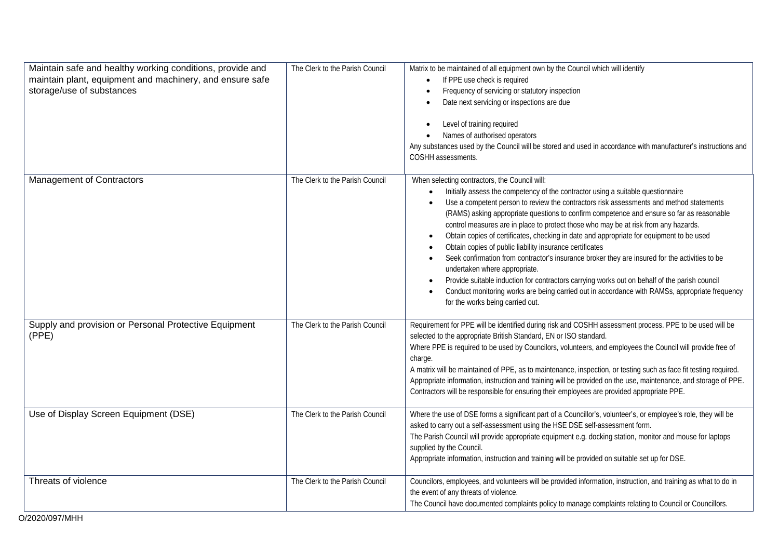| Maintain safe and healthy working conditions, provide and<br>maintain plant, equipment and machinery, and ensure safe<br>storage/use of substances | The Clerk to the Parish Council | Matrix to be maintained of all equipment own by the Council which will identify<br>If PPE use check is required<br>Frequency of servicing or statutory inspection<br>$\bullet$<br>Date next servicing or inspections are due<br>Level of training required<br>$\bullet$<br>Names of authorised operators<br>$\bullet$<br>Any substances used by the Council will be stored and used in accordance with manufacturer's instructions and<br>COSHH assessments.                                                                                                                                                                                                                                                                                                                                                                                                                                                                                       |
|----------------------------------------------------------------------------------------------------------------------------------------------------|---------------------------------|----------------------------------------------------------------------------------------------------------------------------------------------------------------------------------------------------------------------------------------------------------------------------------------------------------------------------------------------------------------------------------------------------------------------------------------------------------------------------------------------------------------------------------------------------------------------------------------------------------------------------------------------------------------------------------------------------------------------------------------------------------------------------------------------------------------------------------------------------------------------------------------------------------------------------------------------------|
| <b>Management of Contractors</b>                                                                                                                   | The Clerk to the Parish Council | When selecting contractors, the Council will:<br>Initially assess the competency of the contractor using a suitable questionnaire<br>Use a competent person to review the contractors risk assessments and method statements<br>(RAMS) asking appropriate questions to confirm competence and ensure so far as reasonable<br>control measures are in place to protect those who may be at risk from any hazards.<br>Obtain copies of certificates, checking in date and appropriate for equipment to be used<br>Obtain copies of public liability insurance certificates<br>Seek confirmation from contractor's insurance broker they are insured for the activities to be<br>undertaken where appropriate.<br>Provide suitable induction for contractors carrying works out on behalf of the parish council<br>Conduct monitoring works are being carried out in accordance with RAMSs, appropriate frequency<br>for the works being carried out. |
| Supply and provision or Personal Protective Equipment<br>(PPE)                                                                                     | The Clerk to the Parish Council | Requirement for PPE will be identified during risk and COSHH assessment process. PPE to be used will be<br>selected to the appropriate British Standard, EN or ISO standard.<br>Where PPE is required to be used by Councilors, volunteers, and employees the Council will provide free of<br>charge.<br>A matrix will be maintained of PPE, as to maintenance, inspection, or testing such as face fit testing required.<br>Appropriate information, instruction and training will be provided on the use, maintenance, and storage of PPE.<br>Contractors will be responsible for ensuring their employees are provided appropriate PPE.                                                                                                                                                                                                                                                                                                         |
| Use of Display Screen Equipment (DSE)                                                                                                              | The Clerk to the Parish Council | Where the use of DSE forms a significant part of a Councillor's, volunteer's, or employee's role, they will be<br>asked to carry out a self-assessment using the HSE DSE self-assessment form.<br>The Parish Council will provide appropriate equipment e.g. docking station, monitor and mouse for laptops<br>supplied by the Council.<br>Appropriate information, instruction and training will be provided on suitable set up for DSE.                                                                                                                                                                                                                                                                                                                                                                                                                                                                                                          |
| Threats of violence                                                                                                                                | The Clerk to the Parish Council | Councilors, employees, and volunteers will be provided information, instruction, and training as what to do in<br>the event of any threats of violence.<br>The Council have documented complaints policy to manage complaints relating to Council or Councillors.                                                                                                                                                                                                                                                                                                                                                                                                                                                                                                                                                                                                                                                                                  |